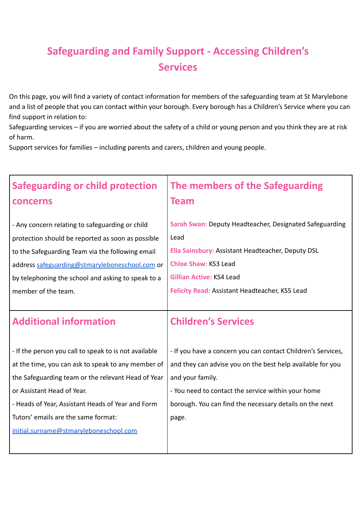## **Safeguarding and Family Support - Accessing Children's Services**

On this page, you will find a variety of contact information for members of the safeguarding team at St Marylebone and a list of people that you can contact within your borough. Every borough has a Children's Service where you can find support in relation to:

Safeguarding services – if you are worried about the safety of a child or young person and you think they are at risk of harm.

Support services for families – including parents and carers, children and young people.

| <b>Safeguarding or child protection</b>                                                                                                                                                                                                                                                                                               | The members of the Safeguarding                                                                                                                                                                                                                                          |
|---------------------------------------------------------------------------------------------------------------------------------------------------------------------------------------------------------------------------------------------------------------------------------------------------------------------------------------|--------------------------------------------------------------------------------------------------------------------------------------------------------------------------------------------------------------------------------------------------------------------------|
| concerns                                                                                                                                                                                                                                                                                                                              | <b>Team</b>                                                                                                                                                                                                                                                              |
| - Any concern relating to safeguarding or child                                                                                                                                                                                                                                                                                       | Sarah Swan: Deputy Headteacher, Designated Safeguarding                                                                                                                                                                                                                  |
| protection should be reported as soon as possible                                                                                                                                                                                                                                                                                     | Lead                                                                                                                                                                                                                                                                     |
| to the Safeguarding Team via the following email                                                                                                                                                                                                                                                                                      | Ella Sainsbury: Assistant Headteacher, Deputy DSL                                                                                                                                                                                                                        |
| address safeguarding@stmaryleboneschool.com or                                                                                                                                                                                                                                                                                        | <b>Chloe Shaw: KS3 Lead</b>                                                                                                                                                                                                                                              |
| by telephoning the school and asking to speak to a                                                                                                                                                                                                                                                                                    | <b>Gillian Active: KS4 Lead</b>                                                                                                                                                                                                                                          |
| member of the team.                                                                                                                                                                                                                                                                                                                   | Felicity Read: Assistant Headteacher, KS5 Lead                                                                                                                                                                                                                           |
| <b>Additional information</b>                                                                                                                                                                                                                                                                                                         | <b>Children's Services</b>                                                                                                                                                                                                                                               |
| - If the person you call to speak to is not available<br>at the time, you can ask to speak to any member of<br>the Safeguarding team or the relevant Head of Year<br>or Assistant Head of Year.<br>- Heads of Year, Assistant Heads of Year and Form<br>Tutors' emails are the same format:<br>initial.surname@stmaryleboneschool.com | - If you have a concern you can contact Children's Services,<br>and they can advise you on the best help available for you<br>and your family.<br>- You need to contact the service within your home<br>borough. You can find the necessary details on the next<br>page. |